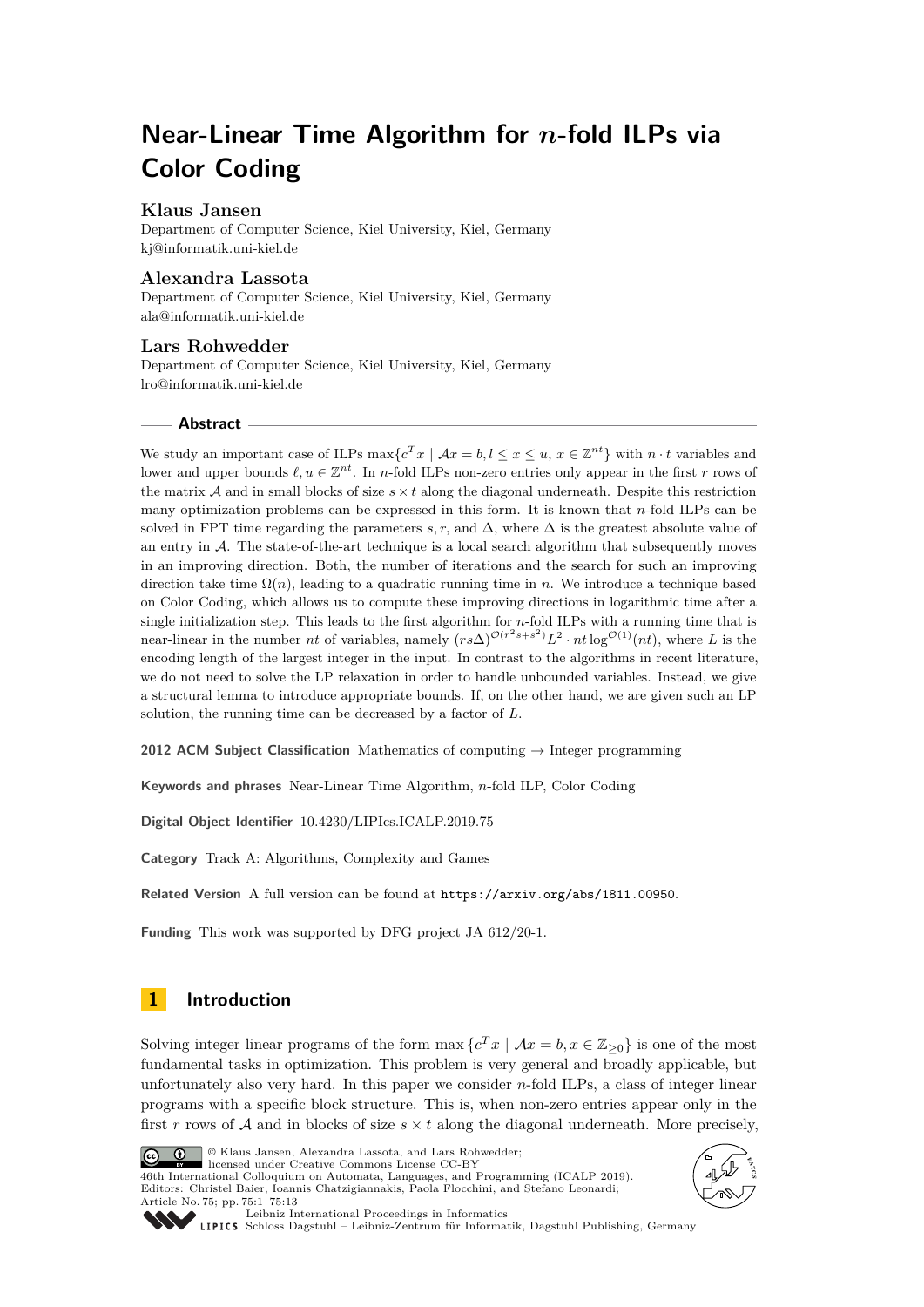# **Near-Linear Time Algorithm for** *n***-fold ILPs via Color Coding**

# **Klaus Jansen**

Department of Computer Science, Kiel University, Kiel, Germany [kj@informatik.uni-kiel.de](mailto:kj@informatik.uni-kiel.de)

# **Alexandra Lassota**

Department of Computer Science, Kiel University, Kiel, Germany [ala@informatik.uni-kiel.de](mailto:ala@informatik.uni-kiel.de)

## **Lars Rohwedder**

Department of Computer Science, Kiel University, Kiel, Germany [lro@informatik.uni-kiel.de](mailto:lro@informatik.uni-kiel.de)

## **Abstract**

We study an important case of ILPs  $\max\{c^T x \mid \mathcal{A}x = b, l \leq x \leq u, x \in \mathbb{Z}^{nt}\}\$  with  $n \cdot t$  variables and lower and upper bounds  $\ell, u \in \mathbb{Z}^{nt}$ . In *n*-fold ILPs non-zero entries only appear in the first *r* rows of the matrix  $A$  and in small blocks of size  $s \times t$  along the diagonal underneath. Despite this restriction many optimization problems can be expressed in this form. It is known that *n*-fold ILPs can be solved in FPT time regarding the parameters *s, r,* and  $\Delta$ , where  $\Delta$  is the greatest absolute value of an entry in  $\mathcal{A}$ . The state-of-the-art technique is a local search algorithm that subsequently moves in an improving direction. Both, the number of iterations and the search for such an improving direction take time Ω(*n*), leading to a quadratic running time in *n*. We introduce a technique based on Color Coding, which allows us to compute these improving directions in logarithmic time after a single initialization step. This leads to the first algorithm for *n*-fold ILPs with a running time that is near-linear in the number *nt* of variables, namely  $(rs\Delta)^{\mathcal{O}(r^2s+s^2)}L^2 \cdot nt \log^{\mathcal{O}(1)}(nt)$ , where *L* is the encoding length of the largest integer in the input. In contrast to the algorithms in recent literature, we do not need to solve the LP relaxation in order to handle unbounded variables. Instead, we give a structural lemma to introduce appropriate bounds. If, on the other hand, we are given such an LP solution, the running time can be decreased by a factor of *L*.

**2012 ACM Subject Classification** Mathematics of computing → Integer programming

**Keywords and phrases** Near-Linear Time Algorithm, *n*-fold ILP, Color Coding

**Digital Object Identifier** [10.4230/LIPIcs.ICALP.2019.75](https://doi.org/10.4230/LIPIcs.ICALP.2019.75)

**Category** Track A: Algorithms, Complexity and Games

**Related Version** A full version can be found at <https://arxiv.org/abs/1811.00950>.

**Funding** This work was supported by DFG project JA 612/20-1.

# **1 Introduction**

Solving integer linear programs of the form max  ${c^T x \mid Ax = b, x \in \mathbb{Z}_{\geq 0}}$  is one of the most fundamental tasks in optimization. This problem is very general and broadly applicable, but unfortunately also very hard. In this paper we consider *n*-fold ILPs, a class of integer linear programs with a specific block structure. This is, when non-zero entries appear only in the first r rows of A and in blocks of size  $s \times t$  along the diagonal underneath. More precisely,



© Klaus Jansen, Alexandra Lassota, and Lars Rohwedder;

licensed under Creative Commons License CC-BY 46th International Colloquium on Automata, Languages, and Programming (ICALP 2019). Editors: Christel Baier, Ioannis Chatzigiannakis, Paola Flocchini, and Stefano Leonardi; Article No. 75; pp. 75:1–75[:13](#page-12-0)





[Leibniz International Proceedings in Informatics](https://www.dagstuhl.de/lipics/)

[Schloss Dagstuhl – Leibniz-Zentrum für Informatik, Dagstuhl Publishing, Germany](https://www.dagstuhl.de)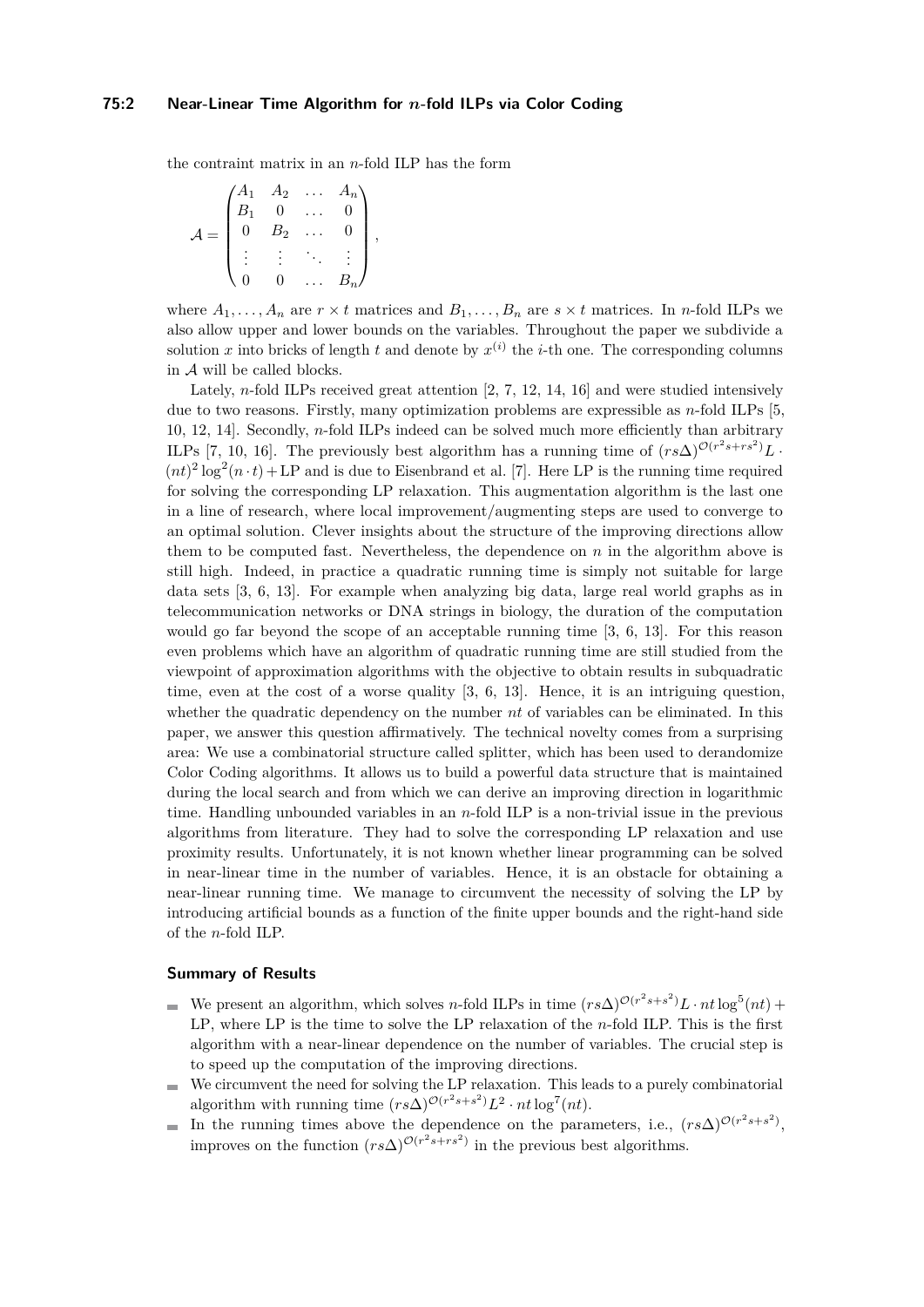## **75:2 Near-Linear Time Algorithm for** *n***-fold ILPs via Color Coding**

the contraint matrix in an *n*-fold ILP has the form

$$
\mathcal{A} = \begin{pmatrix} A_1 & A_2 & \dots & A_n \\ B_1 & 0 & \dots & 0 \\ 0 & B_2 & \dots & 0 \\ \vdots & \vdots & \ddots & \vdots \\ 0 & 0 & \dots & B_n \end{pmatrix},
$$

where  $A_1, \ldots, A_n$  are  $r \times t$  matrices and  $B_1, \ldots, B_n$  are  $s \times t$  matrices. In *n*-fold ILPs we also allow upper and lower bounds on the variables. Throughout the paper we subdivide a solution *x* into bricks of length *t* and denote by  $x^{(i)}$  the *i*-th one. The corresponding columns in A will be called blocks.

Lately, *n*-fold ILPs received great attention [\[2,](#page-11-0) [7,](#page-12-1) [12,](#page-12-2) [14,](#page-12-3) [16\]](#page-12-4) and were studied intensively due to two reasons. Firstly, many optimization problems are expressible as *n*-fold ILPs [\[5,](#page-12-5) [10,](#page-12-6) [12,](#page-12-2) [14\]](#page-12-3). Secondly, *n*-fold ILPs indeed can be solved much more efficiently than arbitrary ILPs [\[7,](#page-12-1) [10,](#page-12-6) [16\]](#page-12-4). The previously best algorithm has a running time of  $(rs\Delta)^{\mathcal{O}(r^2s+rs^2)}L$ .  $(nt)^2 \log^2(n \cdot t) + \text{LP}$  and is due to Eisenbrand et al. [\[7\]](#page-12-1). Here LP is the running time required for solving the corresponding LP relaxation. This augmentation algorithm is the last one in a line of research, where local improvement/augmenting steps are used to converge to an optimal solution. Clever insights about the structure of the improving directions allow them to be computed fast. Nevertheless, the dependence on  $n$  in the algorithm above is still high. Indeed, in practice a quadratic running time is simply not suitable for large data sets [\[3,](#page-12-7) [6,](#page-12-8) [13\]](#page-12-9). For example when analyzing big data, large real world graphs as in telecommunication networks or DNA strings in biology, the duration of the computation would go far beyond the scope of an acceptable running time [\[3,](#page-12-7) [6,](#page-12-8) [13\]](#page-12-9). For this reason even problems which have an algorithm of quadratic running time are still studied from the viewpoint of approximation algorithms with the objective to obtain results in subquadratic time, even at the cost of a worse quality [\[3,](#page-12-7) [6,](#page-12-8) [13\]](#page-12-9). Hence, it is an intriguing question, whether the quadratic dependency on the number *nt* of variables can be eliminated. In this paper, we answer this question affirmatively. The technical novelty comes from a surprising area: We use a combinatorial structure called splitter, which has been used to derandomize Color Coding algorithms. It allows us to build a powerful data structure that is maintained during the local search and from which we can derive an improving direction in logarithmic time. Handling unbounded variables in an *n*-fold ILP is a non-trivial issue in the previous algorithms from literature. They had to solve the corresponding LP relaxation and use proximity results. Unfortunately, it is not known whether linear programming can be solved in near-linear time in the number of variables. Hence, it is an obstacle for obtaining a near-linear running time. We manage to circumvent the necessity of solving the LP by introducing artificial bounds as a function of the finite upper bounds and the right-hand side of the *n*-fold ILP.

## **Summary of Results**

- We present an algorithm, which solves *n*-fold ILPs in time  $(rs\Delta)^{O(r^2s+s^2)}L \cdot nt \log^5(nt)$  + LP, where LP is the time to solve the LP relaxation of the *n*-fold ILP. This is the first algorithm with a near-linear dependence on the number of variables. The crucial step is to speed up the computation of the improving directions.
- We circumvent the need for solving the LP relaxation. This leads to a purely combinatorial  $\overline{a}$ algorithm with running time  $(rs\Delta)^{\mathcal{O}(r^2s+s^2)}L^2 \cdot nt \log^7(nt)$ .
- In the running times above the dependence on the parameters, i.e.,  $(rs\Delta)^{O(r^2s+s^2)}$ ,  $\blacksquare$ improves on the function  $(rs\Delta)^{\mathcal{O}(r^2s+rs^2)}$  in the previous best algorithms.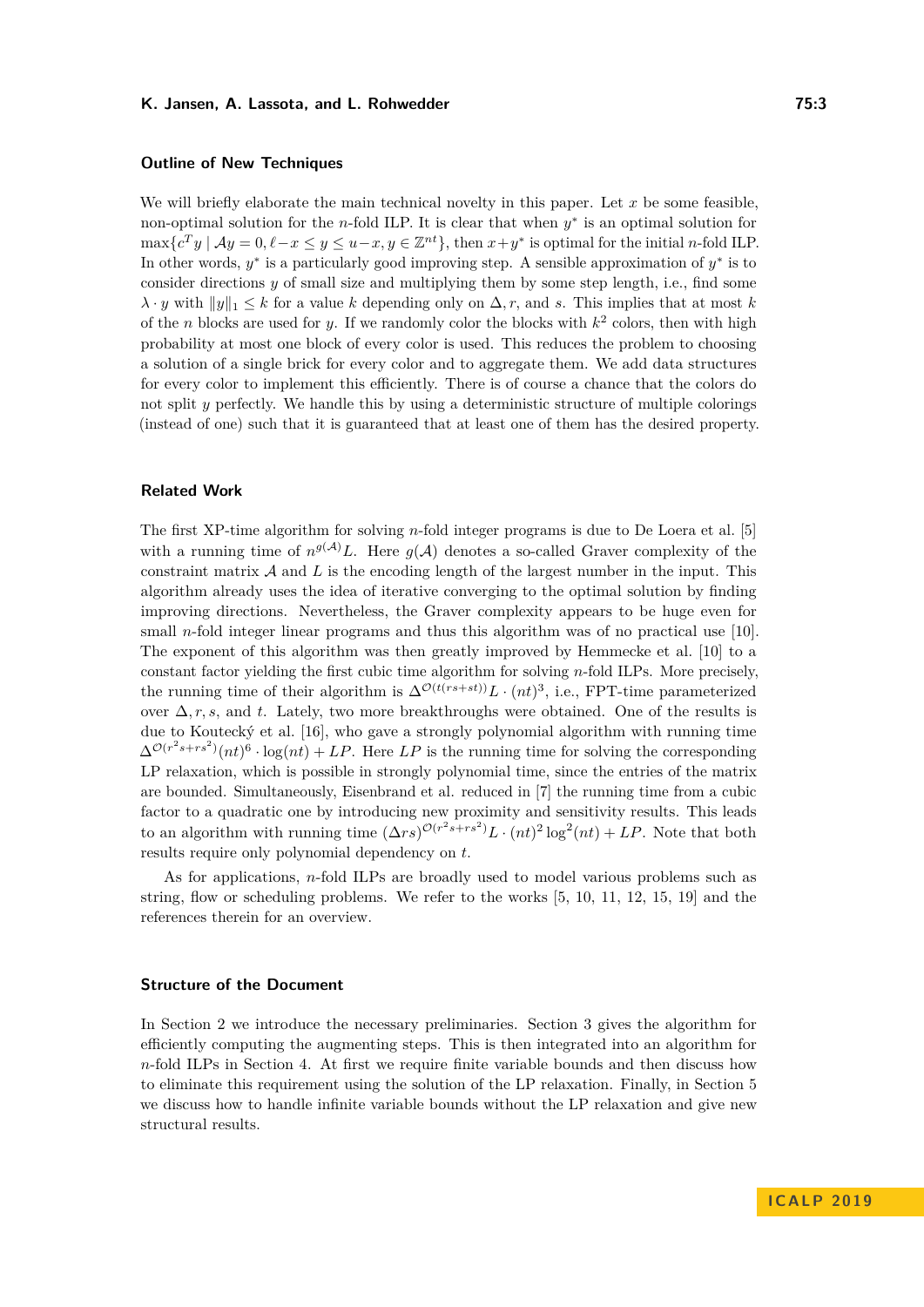# **Outline of New Techniques**

We will briefly elaborate the main technical novelty in this paper. Let x be some feasible, non-optimal solution for the *n*-fold ILP. It is clear that when  $y^*$  is an optimal solution for  $\max\{c^T y \mid Ay = 0, \ell - x \leq y \leq u - x, y \in \mathbb{Z}^{nt}\},\$  then  $x + y^*$  is optimal for the initial *n*-fold ILP. In other words,  $y^*$  is a particularly good improving step. A sensible approximation of  $y^*$  is to consider directions *y* of small size and multiplying them by some step length, i.e., find some  $\lambda \cdot y$  with  $||y||_1 \leq k$  for a value *k* depending only on  $\Delta$ *, r,* and *s*. This implies that at most *k* of the *n* blocks are used for *y*. If we randomly color the blocks with *k* 2 colors, then with high probability at most one block of every color is used. This reduces the problem to choosing a solution of a single brick for every color and to aggregate them. We add data structures for every color to implement this efficiently. There is of course a chance that the colors do not split *y* perfectly. We handle this by using a deterministic structure of multiple colorings (instead of one) such that it is guaranteed that at least one of them has the desired property.

#### **Related Work**

The first XP-time algorithm for solving *n*-fold integer programs is due to De Loera et al. [\[5\]](#page-12-5) with a running time of  $n^{g(A)}L$ . Here  $g(A)$  denotes a so-called Graver complexity of the constraint matrix  $A$  and  $L$  is the encoding length of the largest number in the input. This algorithm already uses the idea of iterative converging to the optimal solution by finding improving directions. Nevertheless, the Graver complexity appears to be huge even for small *n*-fold integer linear programs and thus this algorithm was of no practical use [\[10\]](#page-12-6). The exponent of this algorithm was then greatly improved by Hemmecke et al. [\[10\]](#page-12-6) to a constant factor yielding the first cubic time algorithm for solving *n*-fold ILPs. More precisely, the running time of their algorithm is  $\Delta^{\mathcal{O}(t(rs+st))}L \cdot (nt)^3$ , i.e., FPT-time parameterized over ∆*, r, s,* and *t*. Lately, two more breakthroughs were obtained. One of the results is due to Koutecký et al. [\[16\]](#page-12-4), who gave a strongly polynomial algorithm with running time  $\Delta^{\mathcal{O}(r^2s+rs^2)}(nt)^6 \cdot \log(nt) + LP$ . Here *LP* is the running time for solving the corresponding LP relaxation, which is possible in strongly polynomial time, since the entries of the matrix are bounded. Simultaneously, Eisenbrand et al. reduced in [\[7\]](#page-12-1) the running time from a cubic factor to a quadratic one by introducing new proximity and sensitivity results. This leads to an algorithm with running time  $(\Delta rs)^{O(r^2s+rs^2)}L \cdot (nt)^2 \log^2(nt) + LP$ . Note that both results require only polynomial dependency on *t*.

As for applications, *n*-fold ILPs are broadly used to model various problems such as string, flow or scheduling problems. We refer to the works [\[5,](#page-12-5) [10,](#page-12-6) [11,](#page-12-10) [12,](#page-12-2) [15,](#page-12-11) [19\]](#page-12-12) and the references therein for an overview.

## **Structure of the Document**

In Section [2](#page-3-0) we introduce the necessary preliminaries. Section [3](#page-4-0) gives the algorithm for efficiently computing the augmenting steps. This is then integrated into an algorithm for *n*-fold ILPs in Section [4.](#page-7-0) At first we require finite variable bounds and then discuss how to eliminate this requirement using the solution of the LP relaxation. Finally, in Section [5](#page-11-1) we discuss how to handle infinite variable bounds without the LP relaxation and give new structural results.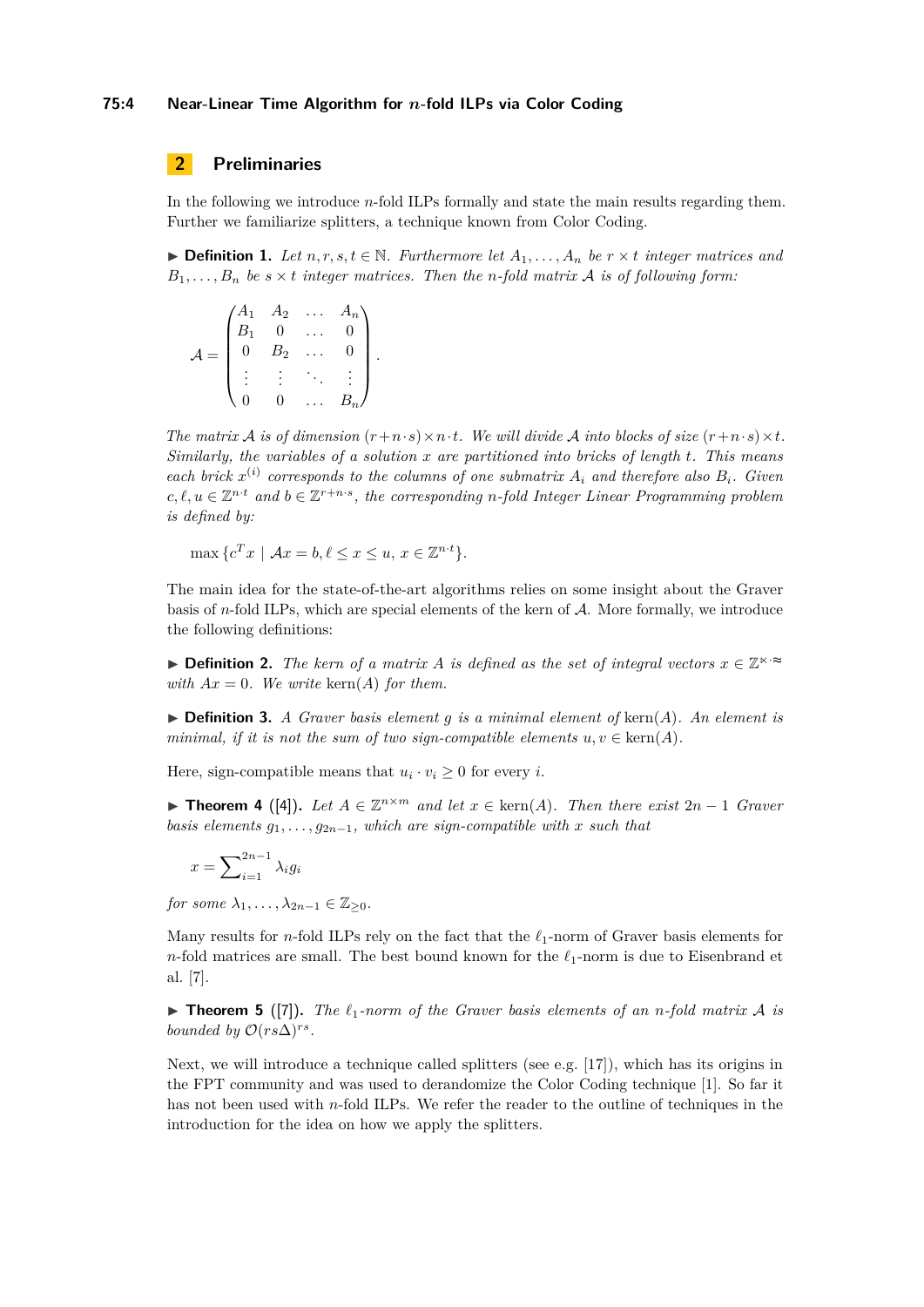#### **75:4 Near-Linear Time Algorithm for** *n***-fold ILPs via Color Coding**

# <span id="page-3-0"></span>**2 Preliminaries**

In the following we introduce *n*-fold ILPs formally and state the main results regarding them. Further we familiarize splitters, a technique known from Color Coding.

▶ **Definition 1.** Let  $n, r, s, t \in \mathbb{N}$ . Furthermore let  $A_1, \ldots, A_n$  be  $r \times t$  integer matrices and  $B_1, \ldots, B_n$  *be*  $s \times t$  *integer matrices. Then the n*-fold matrix A *is of following form:* 

$$
\mathcal{A} = \begin{pmatrix} A_1 & A_2 & \dots & A_n \\ B_1 & 0 & \dots & 0 \\ 0 & B_2 & \dots & 0 \\ \vdots & \vdots & \ddots & \vdots \\ 0 & 0 & \dots & B_n \end{pmatrix}.
$$

*The matrix*  $\mathcal A$  *is of dimension*  $(r+n\cdot s) \times n\cdot t$ *. We will divide*  $\mathcal A$  *into blocks of size*  $(r+n\cdot s) \times t$ *. Similarly, the variables of a solution x are partitioned into bricks of length t. This means each brick*  $x^{(i)}$  *corresponds to the columns of one submatrix*  $A_i$  *and therefore also*  $B_i$ *. Given*  $c, l, u \in \mathbb{Z}^{n \cdot t}$  and  $b \in \mathbb{Z}^{r+n \cdot s}$ , the corresponding *n*-fold Integer Linear Programming problem *is defined by:*

 $\max \{ c^T x \mid \mathcal{A}x = b, \ell \leq x \leq u, x \in \mathbb{Z}^{n \cdot t} \}.$ 

The main idea for the state-of-the-art algorithms relies on some insight about the Graver basis of *n*-fold ILPs, which are special elements of the kern of A. More formally, we introduce the following definitions:

**Definition 2.** *The kern of a matrix A is defined as the set of integral vectors*  $x \in \mathbb{Z}^{\times}$ *with*  $Ax = 0$ *. We write* kern $(A)$  *for them.* 

 $\triangleright$  **Definition 3.** *A Graver basis element q is a minimal element of* kern(*A*)*. An element is minimal, if it is not the sum of two sign-compatible elements*  $u, v \in \text{kern}(A)$ *.* 

Here, sign-compatible means that  $u_i \cdot v_i \geq 0$  for every *i*.

<span id="page-3-1"></span>**► Theorem 4** ([\[4\]](#page-12-13)). Let  $A \in \mathbb{Z}^{n \times m}$  and let  $x \in \text{kern}(A)$ . Then there exist  $2n - 1$  *Graver basis elements*  $g_1, \ldots, g_{2n-1}$ *, which are sign-compatible with x such that* 

$$
x = \sum_{i=1}^{2n-1} \lambda_i g_i
$$

*for some*  $\lambda_1, \ldots, \lambda_{2n-1} \in \mathbb{Z}_{\geq 0}$ *.* 

Many results for *n*-fold ILPs rely on the fact that the  $\ell_1$ -norm of Graver basis elements for *n*-fold matrices are small. The best bound known for the  $\ell_1$ -norm is due to Eisenbrand et al. [\[7\]](#page-12-1).

<span id="page-3-2"></span> $\triangleright$  **Theorem 5** ([\[7\]](#page-12-1)). The  $\ell_1$ -norm of the Graver basis elements of an *n*-fold matrix A is *bounded by*  $\mathcal{O}(rs\Delta)^{rs}$ *.* 

Next, we will introduce a technique called splitters (see e.g. [\[17\]](#page-12-14)), which has its origins in the FPT community and was used to derandomize the Color Coding technique [\[1\]](#page-11-2). So far it has not been used with *n*-fold ILPs. We refer the reader to the outline of techniques in the introduction for the idea on how we apply the splitters.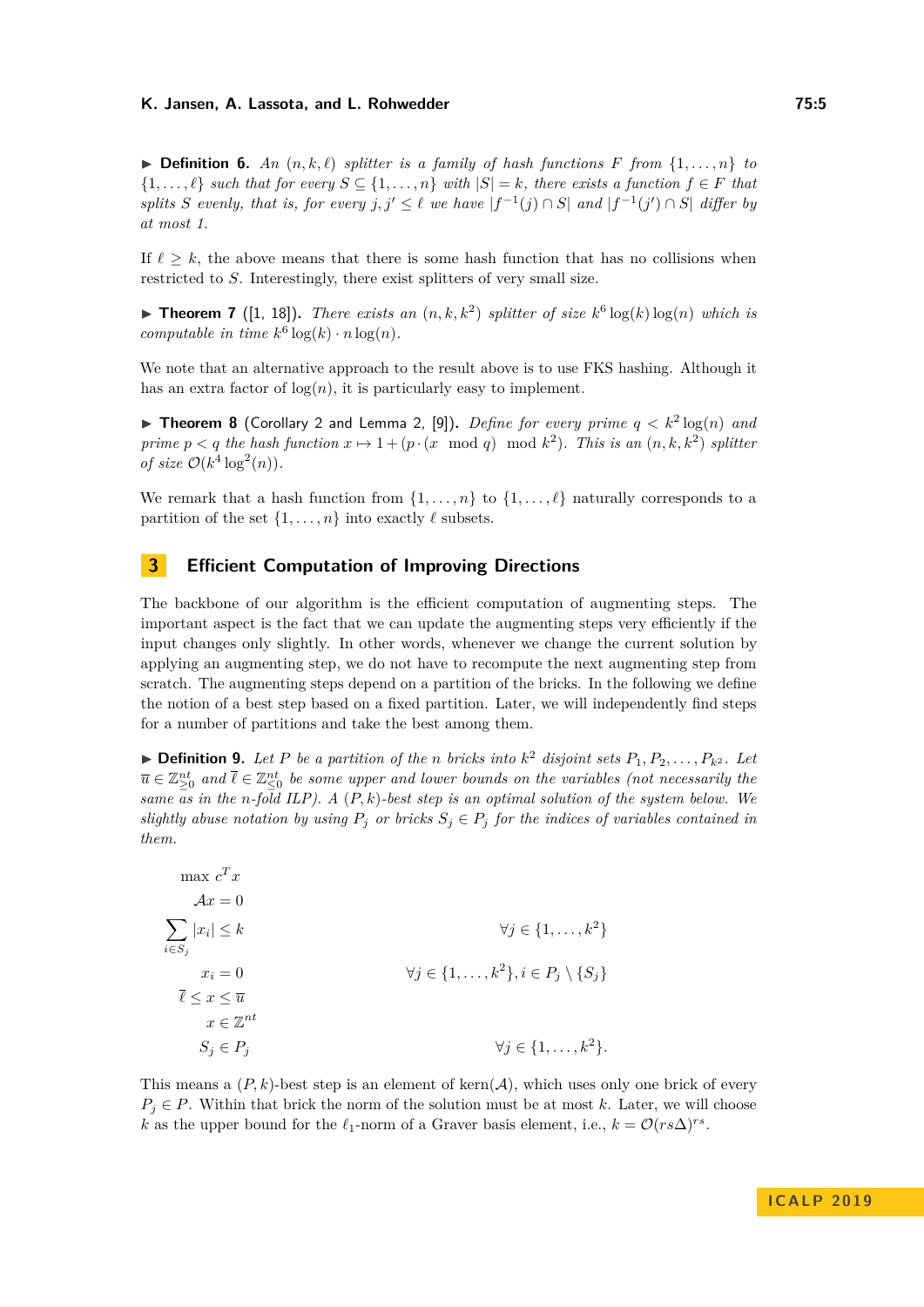$\triangleright$  **Definition 6.** An  $(n, k, \ell)$  *splitter is a family of hash functions F from*  $\{1, \ldots, n\}$  *to*  $\{1, \ldots, \ell\}$  *such that for every*  $S \subseteq \{1, \ldots, n\}$  *with*  $|S| = k$ *, there exists a function*  $f \in F$  *that splits S evenly, that is, for every*  $j, j' \leq \ell$  *we have*  $|f^{-1}(j) \cap S|$  *and*  $|f^{-1}(j') \cap S|$  *differ by at most 1.*

If  $\ell > k$ , the above means that there is some hash function that has no collisions when restricted to *S*. Interestingly, there exist splitters of very small size.

<span id="page-4-1"></span>**Findmen 7** ([\[1,](#page-11-2) [18\]](#page-12-15)). *There exists an*  $(n, k, k^2)$  *splitter of size*  $k^6 \log(k) \log(n)$  *which is computable in time*  $k^6 \log(k) \cdot n \log(n)$ *.* 

We note that an alternative approach to the result above is to use FKS hashing. Although it has an extra factor of  $log(n)$ , it is particularly easy to implement.

**Fineorem 8** (Corollary 2 and Lemma 2, [\[9\]](#page-12-16)). *Define for every prime*  $q < k^2 \log(n)$  *and prime*  $p < q$  *the hash function*  $x \mapsto 1 + (p \cdot (x \mod q) \mod k^2)$ *. This is an*  $(n, k, k^2)$  *splitter of size*  $\mathcal{O}(k^4 \log^2(n))$ *.* 

We remark that a hash function from  $\{1, \ldots, n\}$  to  $\{1, \ldots, \ell\}$  naturally corresponds to a partition of the set  $\{1, \ldots, n\}$  into exactly  $\ell$  subsets.

# <span id="page-4-0"></span>**3 Efficient Computation of Improving Directions**

The backbone of our algorithm is the efficient computation of augmenting steps. The important aspect is the fact that we can update the augmenting steps very efficiently if the input changes only slightly. In other words, whenever we change the current solution by applying an augmenting step, we do not have to recompute the next augmenting step from scratch. The augmenting steps depend on a partition of the bricks. In the following we define the notion of a best step based on a fixed partition. Later, we will independently find steps for a number of partitions and take the best among them.

 $\blacktriangleright$  **Definition 9.** Let P be a partition of the n bricks into  $k^2$  disjoint sets  $P_1, P_2, \ldots, P_{k^2}$ . Let  $\overline{u} \in \mathbb{Z}_{\geq 0}^{nt}$  and  $\overline{\ell} \in \mathbb{Z}_{\leq 0}^{nt}$  be some upper and lower bounds on the variables (not necessarily the *same as in the n-fold ILP). A* (*P, k*)*-best step is an optimal solution of the system below. We slightly abuse notation by using*  $P_j$  *or bricks*  $S_j \in P_j$  *for the indices of variables contained in them.*

 $\max c^T x$  $Ax = 0$  $\sum$ *i*∈*S<sup>j</sup>* |*x<sup>i</sup>*  $|\leq k$   $\forall j \in \{1, \ldots, k^2\}$  $x_i = 0$   $\forall j \in \{1, ..., k^2\}, i \in P_j \setminus \{S_j\}$  $\overline{\ell}$  < *x* <  $\overline{u}$  $x \in \mathbb{Z}^{nt}$  $S_j \in P_j$   $\forall j \in \{1, ..., k^2\}.$ 

This means a  $(P, k)$ -best step is an element of kern $(A)$ , which uses only one brick of every  $P_i \in P$ . Within that brick the norm of the solution must be at most k. Later, we will choose *k* as the upper bound for the  $\ell_1$ -norm of a Graver basis element, i.e.,  $k = \mathcal{O}(rs\Delta)^{rs}$ .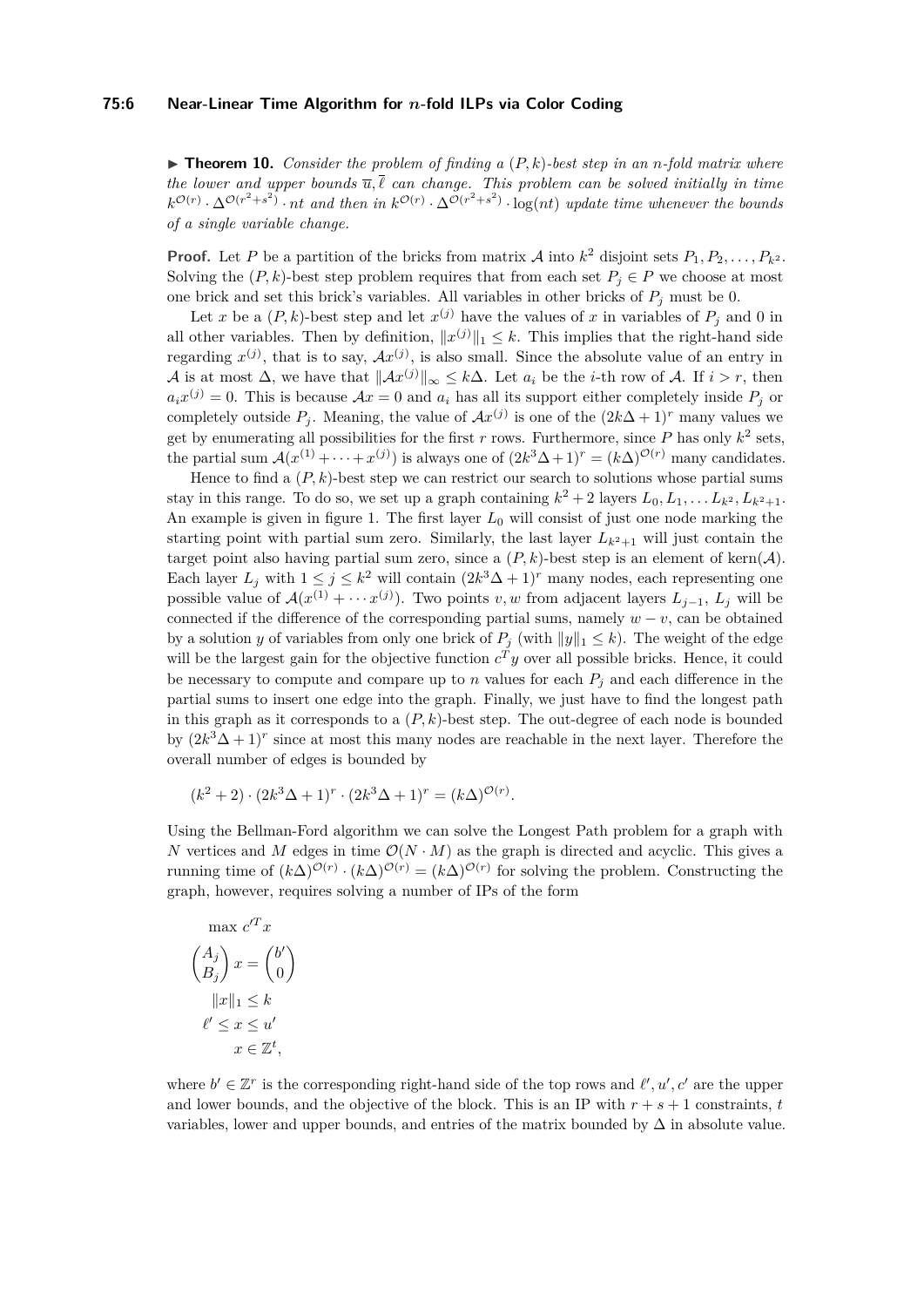<span id="page-5-0"></span> $\triangleright$  **Theorem 10.** *Consider the problem of finding a*  $(P, k)$ *-best step in an n-fold matrix where the lower and upper bounds*  $\overline{u}, \overline{\ell}$  *can change. This problem can be solved initially in time*  $k^{\mathcal{O}(r)} \cdot \Delta^{\mathcal{O}(r^2+s^2)} \cdot nt$  and then in  $k^{\mathcal{O}(r)} \cdot \Delta^{\mathcal{O}(r^2+s^2)} \cdot \log(nt)$  update time whenever the bounds *of a single variable change.*

**Proof.** Let *P* be a partition of the bricks from matrix *A* into  $k^2$  disjoint sets  $P_1, P_2, \ldots, P_{k^2}$ . Solving the  $(P, k)$ -best step problem requires that from each set  $P_i \in P$  we choose at most one brick and set this brick's variables. All variables in other bricks of  $P_j$  must be 0.

Let *x* be a  $(P, k)$ -best step and let  $x^{(j)}$  have the values of *x* in variables of  $P_j$  and 0 in all other variables. Then by definition,  $||x^{(j)}||_1 \leq k$ . This implies that the right-hand side regarding  $x^{(j)}$ , that is to say,  $Ax^{(j)}$ , is also small. Since the absolute value of an entry in A is at most  $\Delta$ , we have that  $||Ax^{(j)}||_{\infty} \leq k\Delta$ . Let  $a_i$  be the *i*-th row of A. If  $i > r$ , then  $a_i x^{(j)} = 0$ . This is because  $\mathcal{A}x = 0$  and  $a_i$  has all its support either completely inside  $P_j$  or completely outside  $P_j$ . Meaning, the value of  $Ax^{(j)}$  is one of the  $(2k\Delta + 1)^r$  many values we get by enumerating all possibilities for the first  $r$  rows. Furthermore, since  $P$  has only  $k^2$  sets, the partial sum  $\mathcal{A}(x^{(1)} + \cdots + x^{(j)})$  is always one of  $(2k^3\Delta + 1)^r = (k\Delta)^{\mathcal{O}(r)}$  many candidates.

Hence to find a  $(P, k)$ -best step we can restrict our search to solutions whose partial sums stay in this range. To do so, we set up a graph containing  $k^2 + 2$  layers  $L_0, L_1, \ldots L_{k^2}, L_{k^2+1}$ . An example is given in figure [1.](#page-7-1) The first layer *L*<sup>0</sup> will consist of just one node marking the starting point with partial sum zero. Similarly, the last layer  $L_{k^2+1}$  will just contain the target point also having partial sum zero, since a  $(P, k)$ -best step is an element of kern $(A)$ . Each layer  $L_j$  with  $1 \leq j \leq k^2$  will contain  $(2k^3\Delta + 1)^r$  many nodes, each representing one possible value of  $\mathcal{A}(x^{(1)} + \cdots x^{(j)})$ . Two points *v*, *w* from adjacent layers  $L_{j-1}$ ,  $L_j$  will be connected if the difference of the corresponding partial sums, namely  $w - v$ , can be obtained by a solution *y* of variables from only one brick of  $P_i$  (with  $||y||_1 \leq k$ ). The weight of the edge will be the largest gain for the objective function  $c^T y$  over all possible bricks. Hence, it could be necessary to compute and compare up to  $n$  values for each  $P_i$  and each difference in the partial sums to insert one edge into the graph. Finally, we just have to find the longest path in this graph as it corresponds to a  $(P, k)$ -best step. The out-degree of each node is bounded by  $(2k^3\Delta+1)^r$  since at most this many nodes are reachable in the next layer. Therefore the overall number of edges is bounded by

$$
(k^{2}+2) \cdot (2k^{3} \Delta + 1)^{r} \cdot (2k^{3} \Delta + 1)^{r} = (k \Delta)^{\mathcal{O}(r)}.
$$

Using the Bellman-Ford algorithm we can solve the Longest Path problem for a graph with *N* vertices and *M* edges in time  $\mathcal{O}(N \cdot M)$  as the graph is directed and acyclic. This gives a running time of  $(k\Delta)^{O(r)} \cdot (k\Delta)^{O(r)} = (k\Delta)^{O(r)}$  for solving the problem. Constructing the graph, however, requires solving a number of IPs of the form

$$
\max c'^T x
$$
  
\n
$$
\binom{A_j}{B_j} x = \binom{b'}{0}
$$
  
\n
$$
||x||_1 \le k
$$
  
\n
$$
\ell' \le x \le u'
$$
  
\n
$$
x \in \mathbb{Z}^t,
$$

where  $b' \in \mathbb{Z}^r$  is the corresponding right-hand side of the top rows and  $\ell', u', c'$  are the upper and lower bounds, and the objective of the block. This is an IP with  $r + s + 1$  constraints,  $t$ variables, lower and upper bounds, and entries of the matrix bounded by  $\Delta$  in absolute value.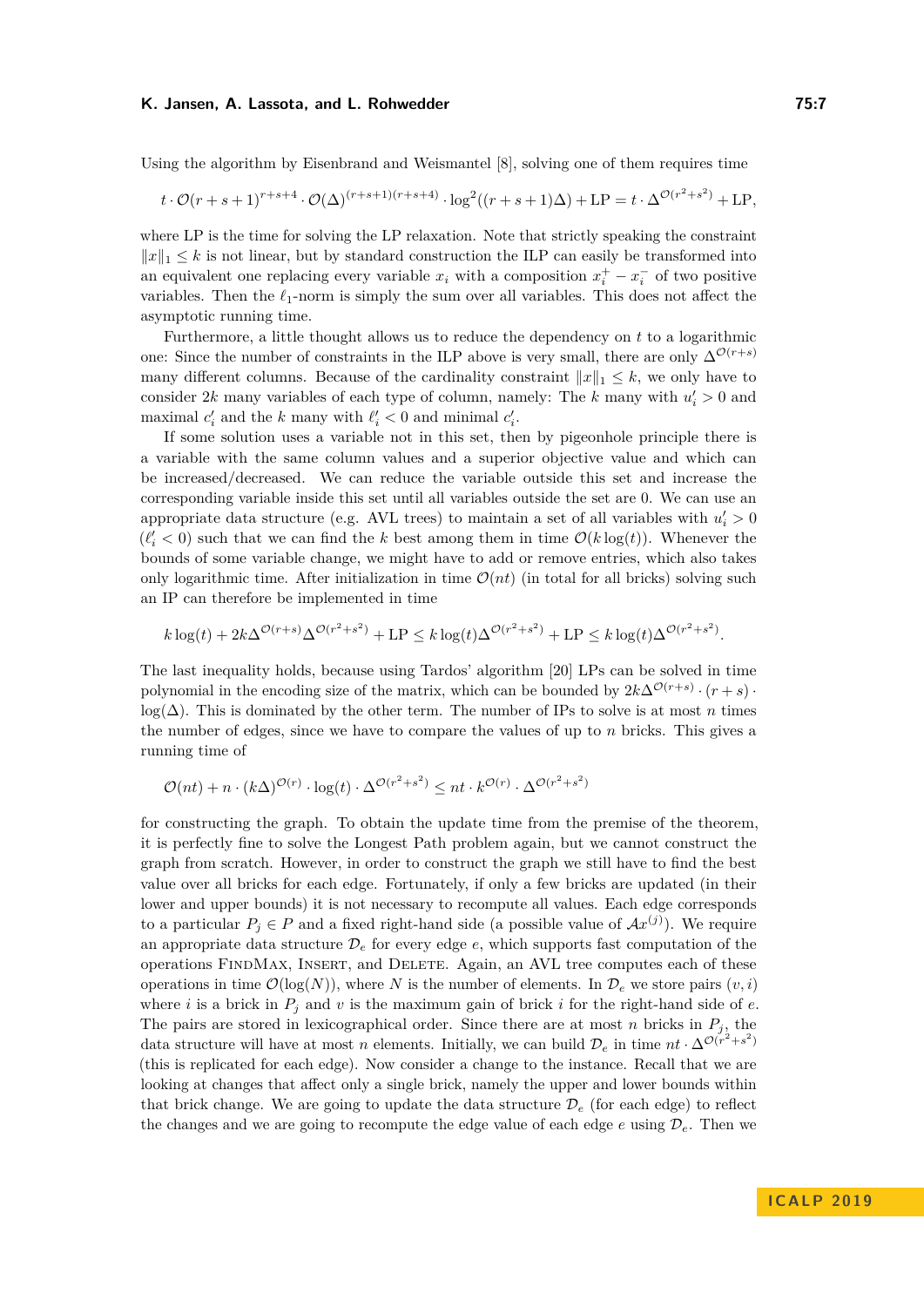#### K. Jansen, A. Lassota, and L. Rohwedder **75:7** and  $\mathbb{R}$  25:7

Using the algorithm by Eisenbrand and Weismantel [\[8\]](#page-12-17), solving one of them requires time

$$
t \cdot \mathcal{O}(r+s+1)^{r+s+4} \cdot \mathcal{O}(\Delta)^{(r+s+1)(r+s+4)} \cdot \log^2((r+s+1)\Delta) + \text{LP} = t \cdot \Delta^{\mathcal{O}(r^2+s^2)} + \text{LP},
$$

where LP is the time for solving the LP relaxation. Note that strictly speaking the constraint  $||x||_1 \leq k$  is not linear, but by standard construction the ILP can easily be transformed into an equivalent one replacing every variable  $x_i$  with a composition  $x_i^+ - x_i^-$  of two positive variables. Then the  $\ell_1$ -norm is simply the sum over all variables. This does not affect the asymptotic running time.

Furthermore, a little thought allows us to reduce the dependency on *t* to a logarithmic one: Since the number of constraints in the ILP above is very small, there are only  $\Delta^{\mathcal{O}(r+s)}$ many different columns. Because of the cardinality constraint  $||x||_1 \leq k$ , we only have to consider 2k many variables of each type of column, namely: The k many with  $u_i' > 0$  and maximal  $c'_i$  and the *k* many with  $\ell'_i < 0$  and minimal  $c'_i$ .

If some solution uses a variable not in this set, then by pigeonhole principle there is a variable with the same column values and a superior objective value and which can be increased/decreased. We can reduce the variable outside this set and increase the corresponding variable inside this set until all variables outside the set are 0. We can use an appropriate data structure (e.g. AVL trees) to maintain a set of all variables with  $u_i' > 0$  $(\ell'_i < 0)$  such that we can find the *k* best among them in time  $\mathcal{O}(k \log(t))$ . Whenever the bounds of some variable change, we might have to add or remove entries, which also takes only logarithmic time. After initialization in time  $\mathcal{O}(nt)$  (in total for all bricks) solving such an IP can therefore be implemented in time

$$
k \log(t) + 2k\Delta^{\mathcal{O}(r+s)}\Delta^{\mathcal{O}(r^2+s^2)} + \text{LP} \le k \log(t)\Delta^{\mathcal{O}(r^2+s^2)} + \text{LP} \le k \log(t)\Delta^{\mathcal{O}(r^2+s^2)}.
$$

The last inequality holds, because using Tardos' algorithm [\[20\]](#page-12-18) LPs can be solved in time polynomial in the encoding size of the matrix, which can be bounded by  $2k\Delta^{\mathcal{O}(r+s)} \cdot (r+s)$ . log(∆). This is dominated by the other term. The number of IPs to solve is at most *n* times the number of edges, since we have to compare the values of up to *n* bricks. This gives a running time of

$$
\mathcal{O}(nt) + n \cdot (k\Delta)^{\mathcal{O}(r)} \cdot \log(t) \cdot \Delta^{\mathcal{O}(r^2 + s^2)} \le nt \cdot k^{\mathcal{O}(r)} \cdot \Delta^{\mathcal{O}(r^2 + s^2)}
$$

for constructing the graph. To obtain the update time from the premise of the theorem, it is perfectly fine to solve the Longest Path problem again, but we cannot construct the graph from scratch. However, in order to construct the graph we still have to find the best value over all bricks for each edge. Fortunately, if only a few bricks are updated (in their lower and upper bounds) it is not necessary to recompute all values. Each edge corresponds to a particular  $P_j \in P$  and a fixed right-hand side (a possible value of  $Ax^{(j)}$ ). We require an appropriate data structure  $\mathcal{D}_e$  for every edge  $e$ , which supports fast computation of the operations FindMax, Insert, and Delete. Again, an AVL tree computes each of these operations in time  $\mathcal{O}(\log(N))$ , where *N* is the number of elements. In  $\mathcal{D}_e$  we store pairs  $(v, i)$ where *i* is a brick in  $P_j$  and  $v$  is the maximum gain of brick  $i$  for the right-hand side of  $e$ . The pairs are stored in lexicographical order. Since there are at most *n* bricks in  $P_j$ , the data structure will have at most *n* elements. Initially, we can build  $\mathcal{D}_e$  in time  $nt \cdot \Delta^{\mathcal{O}(r^2+s^2)}$ (this is replicated for each edge). Now consider a change to the instance. Recall that we are looking at changes that affect only a single brick, namely the upper and lower bounds within that brick change. We are going to update the data structure  $\mathcal{D}_e$  (for each edge) to reflect the changes and we are going to recompute the edge value of each edge  $e$  using  $\mathcal{D}_e$ . Then we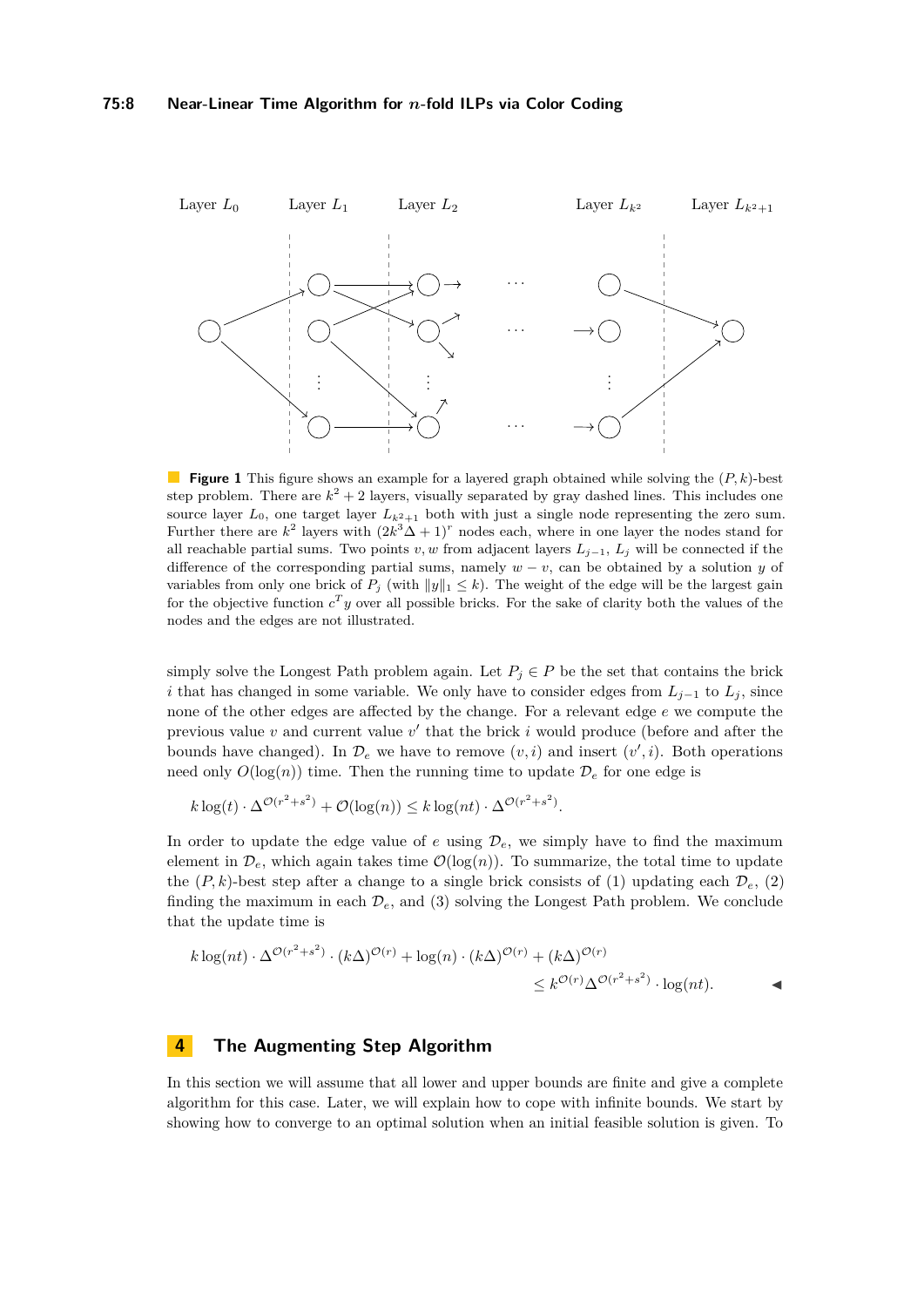<span id="page-7-1"></span>

**Figure 1** This figure shows an example for a layered graph obtained while solving the (*P, k*)-best step problem. There are  $k^2 + 2$  layers, visually separated by gray dashed lines. This includes one source layer  $L_0$ , one target layer  $L_{k^2+1}$  both with just a single node representing the zero sum. Further there are  $k^2$  layers with  $(2k^3\Delta + 1)^r$  nodes each, where in one layer the nodes stand for all reachable partial sums. Two points *v, w* from adjacent layers *Lj*−1, *L<sup>j</sup>* will be connected if the difference of the corresponding partial sums, namely  $w - v$ , can be obtained by a solution *y* of variables from only one brick of  $P_j$  (with  $||y||_1 \leq k$ ). The weight of the edge will be the largest gain for the objective function  $c^T y$  over all possible bricks. For the sake of clarity both the values of the nodes and the edges are not illustrated.

simply solve the Longest Path problem again. Let  $P_j \in P$  be the set that contains the brick *i* that has changed in some variable. We only have to consider edges from  $L_{i-1}$  to  $L_i$ , since none of the other edges are affected by the change. For a relevant edge *e* we compute the previous value  $v$  and current value  $v'$  that the brick  $i$  would produce (before and after the bounds have changed). In  $\mathcal{D}_e$  we have to remove  $(v, i)$  and insert  $(v', i)$ . Both operations need only  $O(\log(n))$  time. Then the running time to update  $\mathcal{D}_e$  for one edge is

$$
k \log(t) \cdot \Delta^{\mathcal{O}(r^2 + s^2)} + \mathcal{O}(\log(n)) \le k \log(nt) \cdot \Delta^{\mathcal{O}(r^2 + s^2)}.
$$

In order to update the edge value of  $e$  using  $\mathcal{D}_e$ , we simply have to find the maximum element in  $\mathcal{D}_e$ , which again takes time  $\mathcal{O}(\log(n))$ . To summarize, the total time to update the  $(P, k)$ -best step after a change to a single brick consists of (1) updating each  $\mathcal{D}_e$ , (2) finding the maximum in each  $\mathcal{D}_e$ , and (3) solving the Longest Path problem. We conclude that the update time is

$$
k \log(nt) \cdot \Delta^{\mathcal{O}(r^2+s^2)} \cdot (k\Delta)^{\mathcal{O}(r)} + \log(n) \cdot (k\Delta)^{\mathcal{O}(r)} + (k\Delta)^{\mathcal{O}(r)} \leq k^{\mathcal{O}(r)} \Delta^{\mathcal{O}(r^2+s^2)} \cdot \log(nt).
$$

# <span id="page-7-0"></span>**4 The Augmenting Step Algorithm**

In this section we will assume that all lower and upper bounds are finite and give a complete algorithm for this case. Later, we will explain how to cope with infinite bounds. We start by showing how to converge to an optimal solution when an initial feasible solution is given. To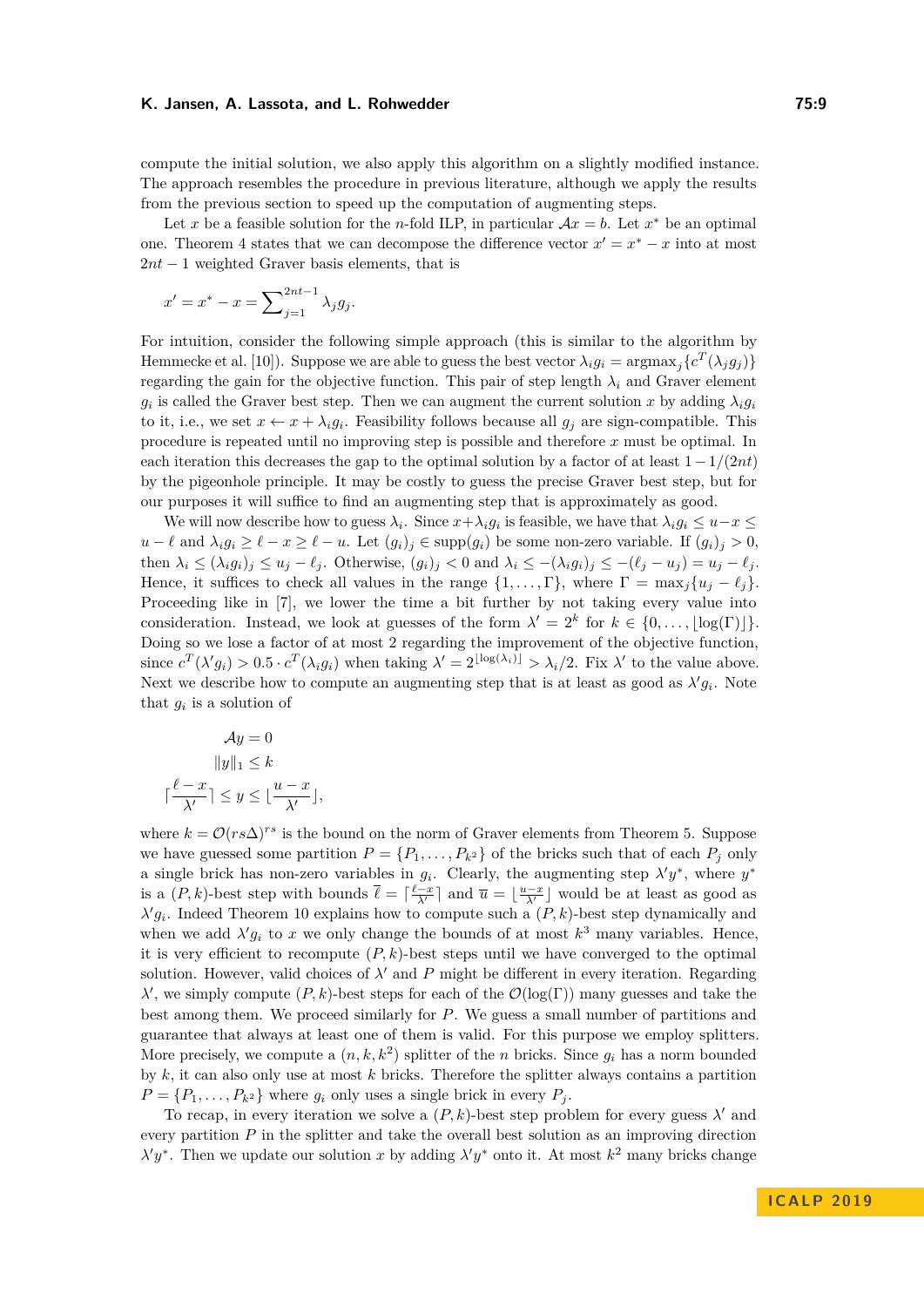compute the initial solution, we also apply this algorithm on a slightly modified instance. The approach resembles the procedure in previous literature, although we apply the results from the previous section to speed up the computation of augmenting steps.

Let *x* be a feasible solution for the *n*-fold ILP, in particular  $Ax = b$ . Let *x*<sup>\*</sup> be an optimal one. Theorem [4](#page-3-1) states that we can decompose the difference vector  $x' = x^* - x$  into at most 2*nt* − 1 weighted Graver basis elements, that is

$$
x' = x^* - x = \sum_{j=1}^{2nt-1} \lambda_j g_j.
$$

For intuition, consider the following simple approach (this is similar to the algorithm by Hemmecke et al. [\[10\]](#page-12-6)). Suppose we are able to guess the best vector  $\lambda_i g_i = \text{argmax}_j \{c^T(\lambda_j g_j)\}$ regarding the gain for the objective function. This pair of step length  $\lambda_i$  and Graver element *g*<sub>*i*</sub> is called the Graver best step. Then we can augment the current solution *x* by adding  $\lambda_i g_i$ to it, i.e., we set  $x \leftarrow x + \lambda_i g_i$ . Feasibility follows because all  $g_j$  are sign-compatible. This procedure is repeated until no improving step is possible and therefore *x* must be optimal. In each iteration this decreases the gap to the optimal solution by a factor of at least 1−1*/*(2*nt*) by the pigeonhole principle. It may be costly to guess the precise Graver best step, but for our purposes it will suffice to find an augmenting step that is approximately as good.

We will now describe how to guess  $\lambda_i$ . Since  $x + \lambda_i g_i$  is feasible, we have that  $\lambda_i g_i \leq u - x \leq$  $u-\ell$  and  $\lambda_i g_i \geq \ell - x \geq \ell - u$ . Let  $(g_i)_j \in \text{supp}(g_i)$  be some non-zero variable. If  $(g_i)_j > 0$ , then  $\lambda_i \leq (\lambda_i g_i)_j \leq u_j - \ell_j$ . Otherwise,  $(g_i)_j < 0$  and  $\lambda_i \leq -(\lambda_i g_i)_j \leq -(\ell_j - u_j) = u_j - \ell_j$ . Hence, it suffices to check all values in the range  $\{1, \ldots, \Gamma\}$ , where  $\Gamma = \max_j \{u_j - \ell_j\}$ . Proceeding like in [\[7\]](#page-12-1), we lower the time a bit further by not taking every value into consideration. Instead, we look at guesses of the form  $\lambda' = 2^k$  for  $k \in \{0, \ldots, \lfloor \log(\Gamma) \rfloor\}.$ Doing so we lose a factor of at most 2 regarding the improvement of the objective function, since  $c^T(\lambda' g_i) > 0.5 \cdot c^T(\lambda_i g_i)$  when taking  $\lambda' = 2^{\lfloor \log(\lambda_i) \rfloor} > \lambda_i/2$ . Fix  $\lambda'$  to the value above. Next we describe how to compute an augmenting step that is at least as good as  $\lambda' g_i$ . Note that  $g_i$  is a solution of

$$
\mathcal{A}y = 0
$$

$$
||y||_1 \le k
$$

$$
\lceil \frac{\ell - x}{\lambda'} \rceil \le y \le \lfloor \frac{u - x}{\lambda'} \rfloor,
$$

where  $k = \mathcal{O}(rs\Delta)^{rs}$  is the bound on the norm of Graver elements from Theorem [5.](#page-3-2) Suppose we have guessed some partition  $P = \{P_1, \ldots, P_{k^2}\}\$  of the bricks such that of each  $P_j$  only a single brick has non-zero variables in  $g_i$ . Clearly, the augmenting step  $\lambda' y^*$ , where  $y^*$ is a  $(P, k)$ -best step with bounds  $\overline{\ell} = \lceil \frac{\ell - x}{\lambda'} \rceil$  and  $\overline{u} = \lfloor \frac{u - x}{\lambda'} \rfloor$  would be at least as good as  $\lambda' g_i$ . Indeed Theorem [10](#page-5-0) explains how to compute such a  $(P, k)$ -best step dynamically and when we add  $\lambda' g_i$  to *x* we only change the bounds of at most  $k^3$  many variables. Hence, it is very efficient to recompute  $(P, k)$ -best steps until we have converged to the optimal solution. However, valid choices of  $\lambda'$  and  $P$  might be different in every iteration. Regarding  $λ'$ , we simply compute  $(P, k)$ -best steps for each of the  $\mathcal{O}(\log(\Gamma))$  many guesses and take the best among them. We proceed similarly for *P*. We guess a small number of partitions and guarantee that always at least one of them is valid. For this purpose we employ splitters. More precisely, we compute a  $(n, k, k^2)$  splitter of the *n* bricks. Since  $g_i$  has a norm bounded by *k*, it can also only use at most *k* bricks. Therefore the splitter always contains a partition  $P = \{P_1, \ldots, P_{k^2}\}\$  where  $g_i$  only uses a single brick in every  $P_i$ .

To recap, in every iteration we solve a  $(P, k)$ -best step problem for every guess  $\lambda'$  and every partition  $P$  in the splitter and take the overall best solution as an improving direction  $\lambda' y^*$ . Then we update our solution *x* by adding  $\lambda' y^*$  onto it. At most  $k^2$  many bricks change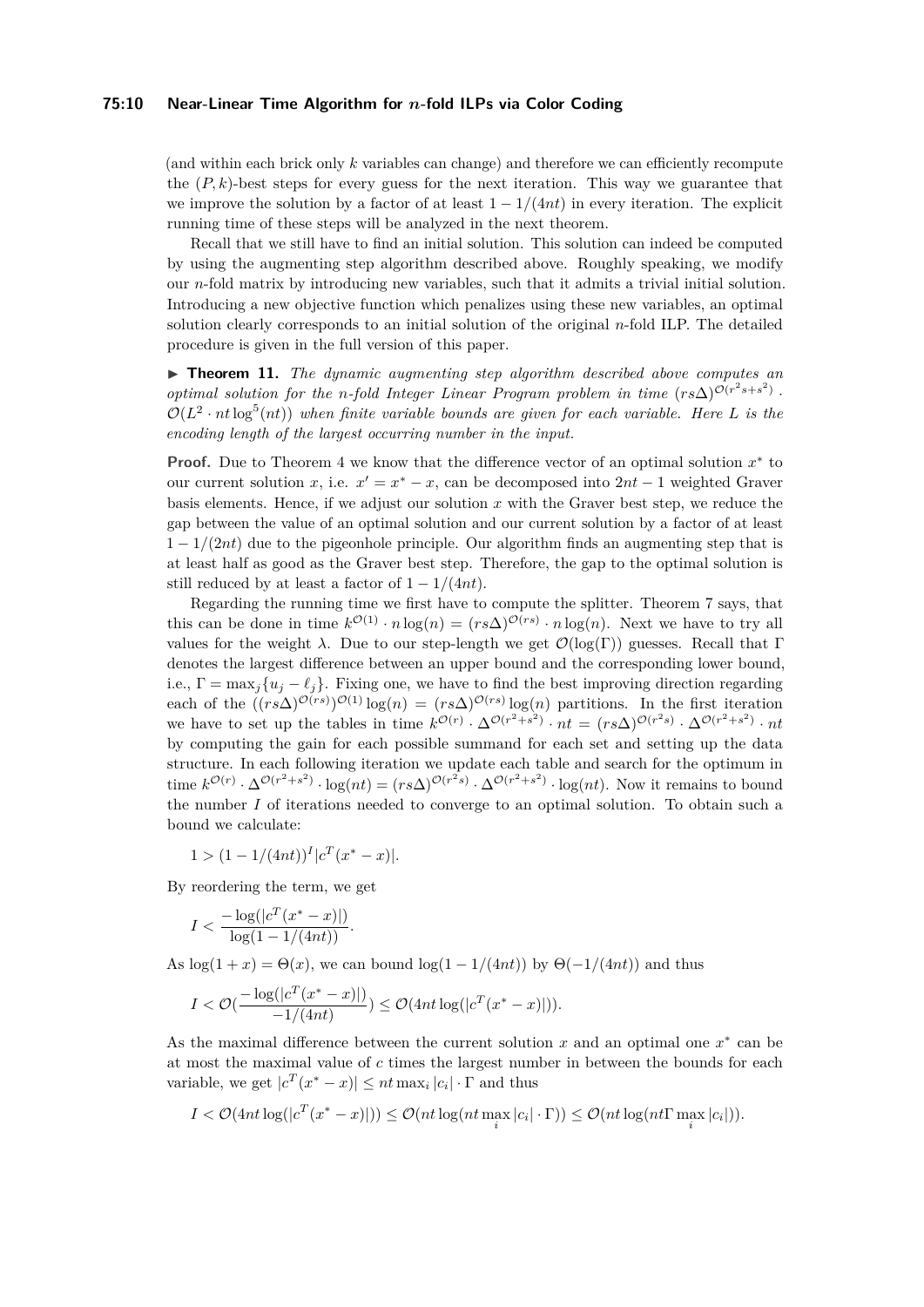## **75:10 Near-Linear Time Algorithm for** *n***-fold ILPs via Color Coding**

(and within each brick only *k* variables can change) and therefore we can efficiently recompute the  $(P, k)$ -best steps for every guess for the next iteration. This way we guarantee that we improve the solution by a factor of at least  $1 - 1/(4nt)$  in every iteration. The explicit running time of these steps will be analyzed in the next theorem.

Recall that we still have to find an initial solution. This solution can indeed be computed by using the augmenting step algorithm described above. Roughly speaking, we modify our *n*-fold matrix by introducing new variables, such that it admits a trivial initial solution. Introducing a new objective function which penalizes using these new variables, an optimal solution clearly corresponds to an initial solution of the original *n*-fold ILP. The detailed procedure is given in the full version of this paper.

▶ **Theorem 11.** *The dynamic augmenting step algorithm described above computes an optimal solution for the <i>n*-fold Integer Linear Program problem in time  $(rs\Delta)^{O(r^2s+s^2)}$ .  $\mathcal{O}(L^2 \cdot nt \log^5(nt))$  when finite variable bounds are given for each variable. Here L is the *encoding length of the largest occurring number in the input.*

**Proof.** Due to Theorem [4](#page-3-1) we know that the difference vector of an optimal solution  $x^*$  to our current solution *x*, i.e.  $x' = x^* - x$ , can be decomposed into  $2nt - 1$  weighted Graver basis elements. Hence, if we adjust our solution *x* with the Graver best step, we reduce the gap between the value of an optimal solution and our current solution by a factor of at least 1 − 1*/*(2*nt*) due to the pigeonhole principle. Our algorithm finds an augmenting step that is at least half as good as the Graver best step. Therefore, the gap to the optimal solution is still reduced by at least a factor of  $1 - 1/(4nt)$ .

Regarding the running time we first have to compute the splitter. Theorem [7](#page-4-1) says, that this can be done in time  $k^{\mathcal{O}(1)} \cdot n \log(n) = (rs\Delta)^{\mathcal{O}(rs)} \cdot n \log(n)$ . Next we have to try all values for the weight *λ*. Due to our step-length we get  $\mathcal{O}(\log(\Gamma))$  guesses. Recall that Γ denotes the largest difference between an upper bound and the corresponding lower bound, i.e.,  $\Gamma = \max_j \{u_j - \ell_j\}$ . Fixing one, we have to find the best improving direction regarding each of the  $((rs\Delta)^{O(rs)})^{O(1)}\log(n) = (rs\Delta)^{O(rs)}\log(n)$  partitions. In the first iteration we have to set up the tables in time  $k^{\mathcal{O}(r)} \cdot \Delta^{\mathcal{O}(r^2+s^2)} \cdot nt = (rs\Delta)^{\mathcal{O}(r^2s)} \cdot \Delta^{\mathcal{O}(r^2+s^2)} \cdot nt$ by computing the gain for each possible summand for each set and setting up the data structure. In each following iteration we update each table and search for the optimum in time  $k^{\mathcal{O}(r)} \cdot \Delta^{\mathcal{O}(r^2+s^2)} \cdot \log(nt) = (rs\Delta)^{\mathcal{O}(r^2s)} \cdot \Delta^{\mathcal{O}(r^2+s^2)} \cdot \log(nt)$ . Now it remains to bound the number *I* of iterations needed to converge to an optimal solution. To obtain such a bound we calculate:

 $1 > (1 - 1/(4nt))^I |c^T(x^* - x)|$ 

By reordering the term, we get

$$
I < \frac{-\log(|c^T(x^*-x)|)}{\log(1 - 1/(4nt))}.
$$

As  $\log(1+x) = \Theta(x)$ , we can bound  $\log(1-1/(4nt))$  by  $\Theta(-1/(4nt))$  and thus

$$
I < \mathcal{O}(\frac{-\log(|c^T(x^*-x)|)}{-1/(4nt)}) \le \mathcal{O}(4nt\log(|c^T(x^*-x)|)).
$$

As the maximal difference between the current solution  $x$  and an optimal one  $x^*$  can be at most the maximal value of *c* times the largest number in between the bounds for each variable, we get  $|c^T(x^* - x)| \le nt \max_i |c_i| \cdot \Gamma$  and thus

$$
I < \mathcal{O}(\text{4nt} \log(|c^T(x^* - x)|)) \leq \mathcal{O}(nt \log(nt \max_i |c_i| \cdot \Gamma)) \leq \mathcal{O}(nt \log(nt \Gamma \max_i |c_i|)).
$$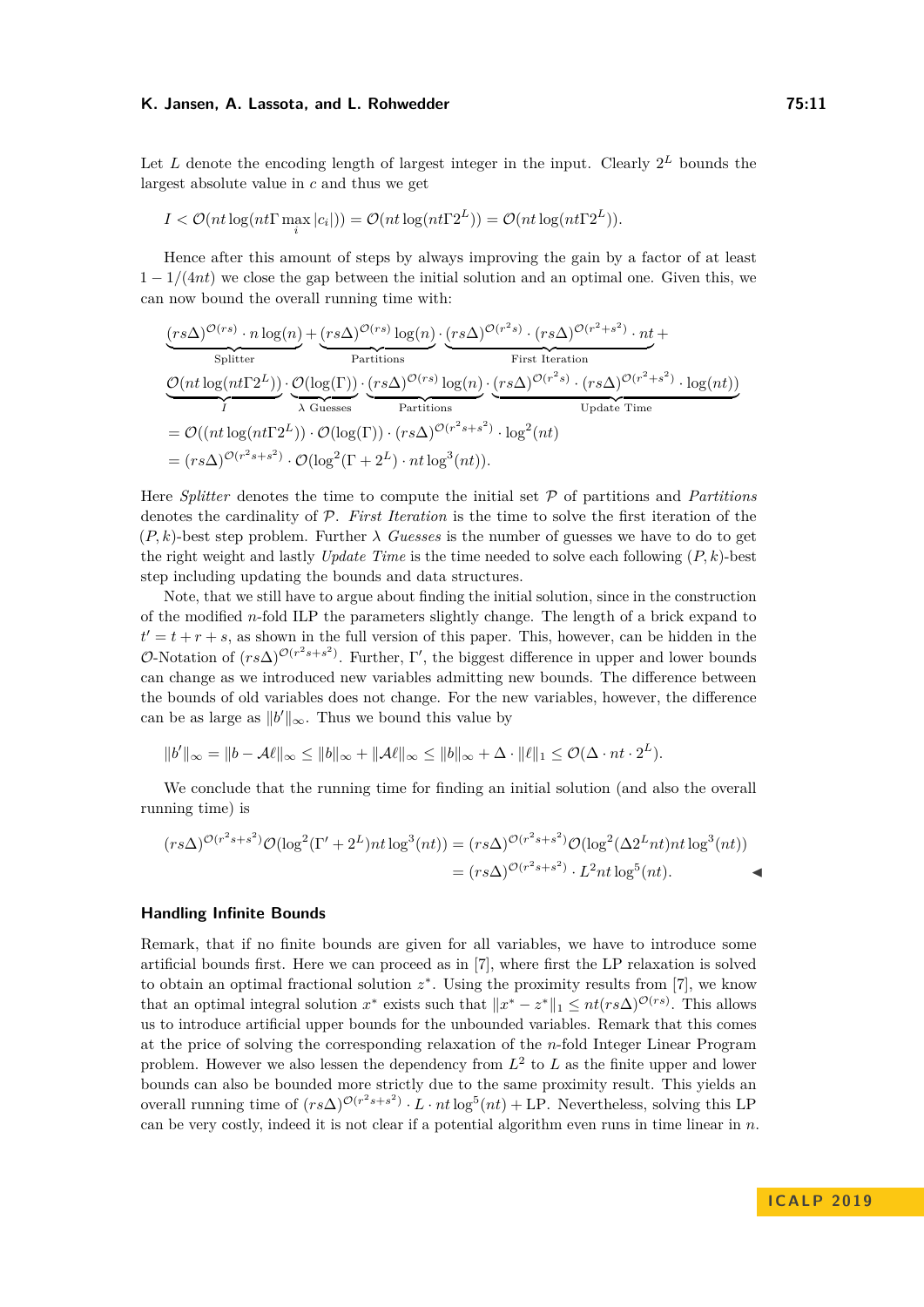Let *L* denote the encoding length of largest integer in the input. Clearly  $2^L$  bounds the largest absolute value in *c* and thus we get

$$
I < \mathcal{O}(nt \log(nt \Gamma \max_{i} |c_{i}|)) = \mathcal{O}(nt \log(nt \Gamma 2^{L})) = \mathcal{O}(nt \log(nt \Gamma 2^{L})).
$$

Hence after this amount of steps by always improving the gain by a factor of at least 1 − 1*/*(4*nt*) we close the gap between the initial solution and an optimal one. Given this, we can now bound the overall running time with:

$$
\underbrace{(rs\Delta)^{\mathcal{O}(rs)}\cdot n \log(n)}_{\text{Splitter}} + \underbrace{(rs\Delta)^{\mathcal{O}(rs)} \log(n)}_{\text{Partitions}} \cdot \underbrace{(rs\Delta)^{\mathcal{O}(r^2s)}\cdot (rs\Delta)^{\mathcal{O}(r^2+s^2)}\cdot nt}_{\text{First Iteration}} + \underbrace{\mathcal{O}(nt \log(nt\Gamma^2L))}_{\text{1}} \cdot \underbrace{\mathcal{O}(\log(\Gamma))}_{\text{A Guesses}} \cdot \underbrace{(rs\Delta)^{\mathcal{O}(rs)} \log(n)}_{\text{Partitions}} \cdot \underbrace{(rs\Delta)^{\mathcal{O}(r^2s)}\cdot (rs\Delta)^{\mathcal{O}(r^2+s^2)}\cdot \log(nt))}_{\text{Update Time}}
$$
\n
$$
= \mathcal{O}((nt \log(nt\Gamma^2L)) \cdot \mathcal{O}(\log(\Gamma)) \cdot (rs\Delta)^{\mathcal{O}(r^2s+s^2)} \cdot \log^2(nt)
$$
\n
$$
= (rs\Delta)^{\mathcal{O}(r^2s+s^2)} \cdot \mathcal{O}(\log^2(\Gamma+2^L) \cdot nt \log^3(nt)).
$$

Here *Splitter* denotes the time to compute the initial set P of partitions and *Partitions* denotes the cardinality of P. *First Iteration* is the time to solve the first iteration of the  $(P, k)$ -best step problem. Further  $\lambda$  *Guesses* is the number of guesses we have to do to get the right weight and lastly *Update Time* is the time needed to solve each following  $(P, k)$ -best step including updating the bounds and data structures.

Note, that we still have to argue about finding the initial solution, since in the construction of the modified *n*-fold ILP the parameters slightly change. The length of a brick expand to  $t' = t + r + s$ , as shown in the full version of this paper. This, however, can be hidden in the O-Notation of  $(rs\Delta)^{O(r^2s+s^2)}$ . Further, Γ', the biggest difference in upper and lower bounds can change as we introduced new variables admitting new bounds. The difference between the bounds of old variables does not change. For the new variables, however, the difference can be as large as  $||b'||_{\infty}$ . Thus we bound this value by

$$
||b'||_{\infty}=||b-\mathcal{A}\ell||_{\infty}\leq ||b||_{\infty}+\|\mathcal{A}\ell\|_{\infty}\leq ||b||_{\infty}+\Delta\cdot\|\ell\|_{1}\leq \mathcal{O}(\Delta\cdot nt\cdot 2^{L}).
$$

We conclude that the running time for finding an initial solution (and also the overall running time) is

$$
(rs\Delta)^{\mathcal{O}(r^2s+s^2)}\mathcal{O}(\log^2(\Gamma'+2^L)nt\log^3(nt)) = (rs\Delta)^{\mathcal{O}(r^2s+s^2)}\mathcal{O}(\log^2(\Delta 2^Lnt)nt\log^3(nt))
$$
  
= 
$$
(rs\Delta)^{\mathcal{O}(r^2s+s^2)} \cdot L^2nt\log^5(nt).
$$

#### **Handling Infinite Bounds**

Remark, that if no finite bounds are given for all variables, we have to introduce some artificial bounds first. Here we can proceed as in [\[7\]](#page-12-1), where first the LP relaxation is solved to obtain an optimal fractional solution  $z^*$ . Using the proximity results from [\[7\]](#page-12-1), we know that an optimal integral solution  $x^*$  exists such that  $||x^* - z^*||_1 \le nt(rs\Delta)^{\mathcal{O}(rs)}$ . This allows us to introduce artificial upper bounds for the unbounded variables. Remark that this comes at the price of solving the corresponding relaxation of the *n*-fold Integer Linear Program problem. However we also lessen the dependency from  $L^2$  to  $L$  as the finite upper and lower bounds can also be bounded more strictly due to the same proximity result. This yields an overall running time of  $(rs\Delta)^{\mathcal{O}(r^2s+s^2)} \cdot L \cdot nt \log^5(nt) + \text{LP}$ . Nevertheless, solving this LP can be very costly, indeed it is not clear if a potential algorithm even runs in time linear in *n*.

**I C A L P 2 0 1 9**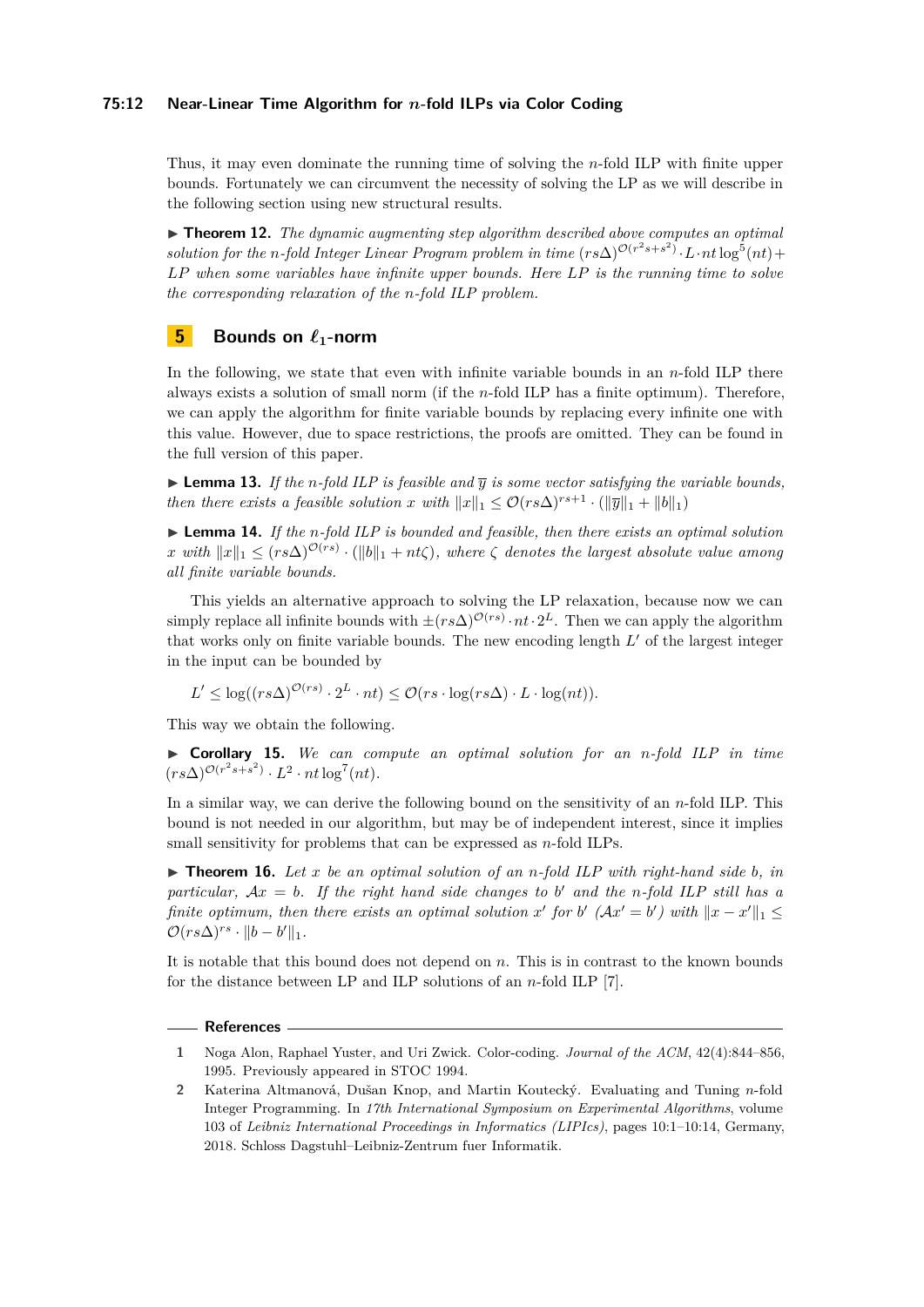## **75:12 Near-Linear Time Algorithm for** *n***-fold ILPs via Color Coding**

Thus, it may even dominate the running time of solving the *n*-fold ILP with finite upper bounds. Fortunately we can circumvent the necessity of solving the LP as we will describe in the following section using new structural results.

 $\triangleright$  **Theorem 12.** *The dynamic augmenting step algorithm described above computes an optimal solution for the n-fold Integer Linear Program problem in time*  $(rs\Delta)^{O(r^2s+s^2)} \cdot L \cdot nt \log^5(nt) +$ *LP when some variables have infinite upper bounds. Here LP is the running time to solve the corresponding relaxation of the n-fold ILP problem.*

# <span id="page-11-1"></span>**5 Bounds on**  $\ell_1$ -norm

In the following, we state that even with infinite variable bounds in an *n*-fold ILP there always exists a solution of small norm (if the *n*-fold ILP has a finite optimum). Therefore, we can apply the algorithm for finite variable bounds by replacing every infinite one with this value. However, due to space restrictions, the proofs are omitted. They can be found in the full version of this paper.

**Lemma 13.** If the *n*-fold ILP is feasible and  $\overline{y}$  is some vector satisfying the variable bounds, *then there exists a feasible solution x with*  $||x||_1 \leq \mathcal{O}(rs\Delta)^{rs+1} \cdot (||\overline{y}||_1 + ||b||_1)$ 

I **Lemma 14.** *If the n-fold ILP is bounded and feasible, then there exists an optimal solution*  $x \text{ with } ||x||_1 \le (rs\Delta)^{\mathcal{O}(rs)} \cdot (||b||_1 + nt\zeta), \text{ where } \zeta \text{ denotes the largest absolute value among } \zeta$ *all finite variable bounds.*

This yields an alternative approach to solving the LP relaxation, because now we can simply replace all infinite bounds with  $\pm (rs\Delta)^{O(rs)} \cdot nt \cdot 2^L$ . Then we can apply the algorithm that works only on finite variable bounds. The new encoding length  $L'$  of the largest integer in the input can be bounded by

$$
L' \leq \log((rs\Delta)^{\mathcal{O}(rs)} \cdot 2^L \cdot nt) \leq \mathcal{O}(rs \cdot \log(rs\Delta) \cdot L \cdot \log(nt)).
$$

This way we obtain the following.

I **Corollary 15.** *We can compute an optimal solution for an n-fold ILP in time*  $(rs\Delta)^{\mathcal{O}(r^2s+s^2)} \cdot L^2 \cdot nt \log^7(nt)$ .

In a similar way, we can derive the following bound on the sensitivity of an *n*-fold ILP. This bound is not needed in our algorithm, but may be of independent interest, since it implies small sensitivity for problems that can be expressed as *n*-fold ILPs.

 $\triangleright$  **Theorem 16.** Let x be an optimal solution of an *n*-fold ILP with right-hand side b, in *particular,*  $Ax = b$ . If the right hand side changes to b' and the *n*-fold ILP still has a *finite optimum, then there exists an optimal solution*  $x'$  for  $b'$  ( $Ax' = b'$ ) with  $||x - x'||_1 \le$  $\mathcal{O}(rs\Delta)^{rs} \cdot ||b-b'||_1.$ 

It is notable that this bound does not depend on *n*. This is in contrast to the known bounds for the distance between LP and ILP solutions of an *n*-fold ILP [\[7\]](#page-12-1).

## **References**

<span id="page-11-2"></span>**<sup>1</sup>** Noga Alon, Raphael Yuster, and Uri Zwick. Color-coding. *Journal of the ACM*, 42(4):844–856, 1995. Previously appeared in STOC 1994.

<span id="page-11-0"></span>**<sup>2</sup>** Katerina Altmanová, Dušan Knop, and Martin Koutecký. Evaluating and Tuning *n*-fold Integer Programming. In *17th International Symposium on Experimental Algorithms*, volume 103 of *Leibniz International Proceedings in Informatics (LIPIcs)*, pages 10:1–10:14, Germany, 2018. Schloss Dagstuhl–Leibniz-Zentrum fuer Informatik.